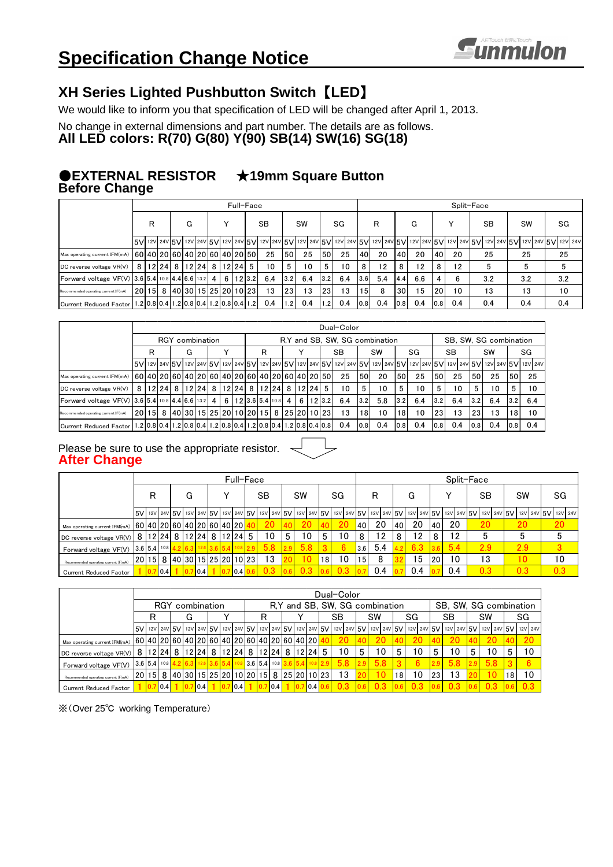## **Specification Change Notice**



### **XH Series Lighted Pushbutton Switch** 【**LED**】

We would like to inform you that specification of LED will be changed after April 1, 2013.

No change in external dimensions and part number. The details are as follows.

**All LED colors: R(70) G(80) Y(90) SB(14) SW(16) SG(18)**

#### ●**EXTERNAL RESISTOR** ★**19mm Square Button Before Change**

|                                                   |   |  |   |                                                                                   |         | Full-Face |     |      |           |     |     |                 |   |     |     |     |     |     | Split-Face |     |           |                                                                                                                                                           |
|---------------------------------------------------|---|--|---|-----------------------------------------------------------------------------------|---------|-----------|-----|------|-----------|-----|-----|-----------------|---|-----|-----|-----|-----|-----|------------|-----|-----------|-----------------------------------------------------------------------------------------------------------------------------------------------------------|
|                                                   | R |  | G |                                                                                   |         |           | SВ  |      | <b>SW</b> |     | SG  |                 | R |     |     | G   |     |     |            | SВ  | <b>SW</b> | SG                                                                                                                                                        |
|                                                   |   |  |   |                                                                                   |         |           |     |      |           |     |     |                 |   |     |     |     |     |     |            |     |           | 5V 12v 24v 5V 12v 24v 5V 12v 24v 5V 12v 24v 5V 12v 24v 5V 12v 24v 5V 12v 24v 5V 12v 24v 5V 12v 24v 5V 12v 24v 5V 12v 24v 5V 12v 24v 5V 12v 24v 5V 12v 24v |
| Max operating current IFM(mA)                     |   |  |   | 60 40 20 60 40 20 60 40 20 50                                                     |         |           | 25  | 50   | 25        | 50  | 25  | 40              |   | 20  | 40  | 20  | 40  | 20  |            | 25  | 25        | 25                                                                                                                                                        |
| DC reverse voltage VR(V)                          |   |  |   | 8   12   24   8   12   24   8                                                     | 12 24 5 |           | 10  |      | 10        | 5   | 10  | 8               |   | 12  |     | 12  | 8   | 12  |            | 5   | 5         | 5                                                                                                                                                         |
| Forward voltage VF(V) 3.6 5.4 10.8 4.4 6.6 13.2 4 |   |  |   |                                                                                   |         | 6 12 3.2  | 6.4 | 3.2  | 6.4       | 3.2 | 6.4 | 3.6             |   | 5.4 | 4.4 | 6.6 | 4   |     |            | 3.2 | 3.2       | 3.2                                                                                                                                                       |
| Recommended operating current IF(mA)              |   |  |   | 20 15  8  40 30 15 25 20 10 23                                                    |         |           | 13  | 23   | 13        | 23  | 13  | 15 <sup>1</sup> |   | 8   | 30  | 15  | 20  | 10  |            | 13  | 13        | 10                                                                                                                                                        |
| <b>Current Reduced Factor</b>                     |   |  |   | .2 0.8 0.4 1.2 0.8 0.4 1.2 0.8 0.4 1.2 0.8 0.4 1.2 0.8 0.4 1.2 1.2 0.8 0.4 1.2 1. |         |           | 0.4 | 1.21 | 0.4       | 1.2 | 0.4 | 0.8             |   | 0.4 | 0.8 | 0.4 | 0.8 | 0.4 |            | 0.4 | 0.4       | 0.4                                                                                                                                                       |

|                                                                                                    |                                                                             |   |  |  |   |  |  |  |  |  |   |                                                 |  |   |          |             | Dual-Color |                 |                                                                                                                                                                    |                 |     |     |     |    |                  |     |      |     |
|----------------------------------------------------------------------------------------------------|-----------------------------------------------------------------------------|---|--|--|---|--|--|--|--|--|---|-------------------------------------------------|--|---|----------|-------------|------------|-----------------|--------------------------------------------------------------------------------------------------------------------------------------------------------------------|-----------------|-----|-----|-----|----|------------------|-----|------|-----|
|                                                                                                    | RGY combination<br>R.Y and SB, SW, SG combination<br>SB. SW. SG combination |   |  |  |   |  |  |  |  |  |   |                                                 |  |   |          |             |            |                 |                                                                                                                                                                    |                 |     |     |     |    |                  |     |      |     |
|                                                                                                    |                                                                             | R |  |  | G |  |  |  |  |  | R |                                                 |  |   |          |             | SВ         |                 | SW                                                                                                                                                                 |                 | SG  |     | SB. |    |                  | SW  |      | SG  |
|                                                                                                    |                                                                             |   |  |  |   |  |  |  |  |  |   |                                                 |  |   |          |             |            |                 | 5V  12V 24V 5V  12V 24V 5V  12V 24V 5V  12V 24V 5V  12V 24V 5V  12V 24V 5V  12V  24V 5V  12V  24V 5V  12V  24V 5V  12V  24V 5V  12V  24V 5V  12V  24V 5V  12V  24V |                 |     |     |     |    |                  |     |      |     |
| Max operating current IFM(mA)                                                                      |                                                                             |   |  |  |   |  |  |  |  |  |   | 60 40 20 60 40 20 60 40 20 60 40 20 60 40 20 50 |  |   |          |             | 25         | 150             | 20                                                                                                                                                                 | 50              | 25  | 50  | 25  |    | 150              | 25  | 50   | 25  |
| DC reverse voltage VR(V)                                                                           |                                                                             |   |  |  |   |  |  |  |  |  |   | 8 12 24 8 12 24 8 12 24 8 12 24 8 12            |  |   | $12 24 $ | $5^{\circ}$ | 10         | 5               | 10                                                                                                                                                                 | 5               | 10  | 5   |     | 10 | 5                | 10  |      | 10  |
| Forward voltage VF(V) 3.6 5.4 10.8 4.4 6.6 13.2 4 6 12 3.6 5.4 10.8 4                              |                                                                             |   |  |  |   |  |  |  |  |  |   |                                                 |  | 6 |          | 12 3.2      | 6.4        | 13.21           | 5.8                                                                                                                                                                | 3.2             | 6.4 | 3.2 | 6.4 |    | 3.2 <sub>1</sub> | 6.4 | 3.2  | 6.4 |
| Recommended operating current IF(mA)                                                               |                                                                             |   |  |  |   |  |  |  |  |  |   | 2011518140130115125120110120115181251201101231  |  |   |          |             | 13         | 18 <sub>1</sub> | 10                                                                                                                                                                 | 18 <sup>l</sup> | 10  | 23  |     | 13 | <b>23</b>        | 13  | 18   | 10  |
| Current Reduced Factor 1.2 0.8 0.4 1.2 0.8 0.4 1.2 0.8 0.4 1.2 0.8 0.4 1.2 0.8 0.4 1.2 0.8 0.4 0.8 |                                                                             |   |  |  |   |  |  |  |  |  |   |                                                 |  |   |          |             | 0.4        | 0.8             | 0.4                                                                                                                                                                | 0.8             | 0.4 | 0.8 | 0.4 |    | 0.8              | 0.4 | 10.8 | 0.4 |

#### Please be sure to use the appropriate resistor. **After Change**

|                                                                        |   |     |                             |     |                                | Full-Face         |    |     |    |     |    |    |     |                  |     |    |     |    | Split-Face                                                                                                                                                                                                                  |      |     |  |     |  |
|------------------------------------------------------------------------|---|-----|-----------------------------|-----|--------------------------------|-------------------|----|-----|----|-----|----|----|-----|------------------|-----|----|-----|----|-----------------------------------------------------------------------------------------------------------------------------------------------------------------------------------------------------------------------------|------|-----|--|-----|--|
|                                                                        | R |     | G                           |     |                                |                   | SB |     |    | SW  |    | SG |     |                  | R   |    | G   |    |                                                                                                                                                                                                                             | SВ   | SW  |  | SG  |  |
|                                                                        |   |     |                             |     |                                |                   |    |     |    |     |    |    |     |                  |     |    |     |    | 5V   12V   24V   5V   12V   24V   5V   12V   24V   5V   12V   24V   25V   12V   24V   5V   12V   24V   5V   12V   24V   5V   12V   24V   24V   5V   12V   24V   5V   12V   24V   5V   12V   24V   5V   12V   24V   5V   12V |      |     |  |     |  |
| Max operating current IFM(mA)                                          |   |     |                             |     | [60]40]20]60]40[20]60[40]20]   |                   |    | 20  |    | 20  |    |    | 20  | 40               | 20  | 40 | 20  | 40 | 20                                                                                                                                                                                                                          | 20   | 20  |  | 20  |  |
| DC reverse voltage VR(V)   8   12   24   8   12   24   8   12   24   5 |   |     |                             |     |                                |                   |    | 10  | 5' | 10  | 5  |    | 10  | 8                | 12  |    | 12  | 8  | 12                                                                                                                                                                                                                          | b    | 5   |  | 5   |  |
| Forward voltage VF(V)                                                  |   |     | $3.6$ 5.4 10.8 4.2 6.3 12.6 |     |                                |                   |    | 5.8 |    | 5.8 |    |    | 6.  | 3.6 <sub>1</sub> | 5.4 |    | 6.3 |    | 5.4                                                                                                                                                                                                                         | 2.9  | 2.9 |  | 3   |  |
| Recommended operating current IF(mA)                                   |   |     |                             |     | 20 15  8  40 30 15 25 20 10 23 |                   |    | 13  |    |     | 18 |    | 10  | 151              | 8   |    | 15  | 20 | 10                                                                                                                                                                                                                          | 13   | 10  |  | 10  |  |
| Current Reduced Factor                                                 |   | 0.4 |                             | 0.4 |                                | $^{\prime}$ 10.41 |    | 0.3 |    | 0.3 |    |    | 0.3 |                  | 0.4 |    | 0.4 |    | 0.4                                                                                                                                                                                                                         | 0.3. | 0.3 |  | 0.3 |  |

|                                                                                                    |                        |   |         |                       |     |  |     |                                      |     |                                                   |     | Dual-Color |  |                                |    |                                                                                                                                                                                                                            |    |    |                        |     |           |    |     |    |    |
|----------------------------------------------------------------------------------------------------|------------------------|---|---------|-----------------------|-----|--|-----|--------------------------------------|-----|---------------------------------------------------|-----|------------|--|--------------------------------|----|----------------------------------------------------------------------------------------------------------------------------------------------------------------------------------------------------------------------------|----|----|------------------------|-----|-----------|----|-----|----|----|
|                                                                                                    |                        |   |         | RGY combination       |     |  |     |                                      |     |                                                   |     |            |  | R.Y and SB, SW, SG combination |    |                                                                                                                                                                                                                            |    |    | SB, SW, SG combination |     |           |    |     |    |    |
|                                                                                                    |                        | R |         | G                     |     |  |     |                                      |     |                                                   |     | SB         |  | <b>SW</b>                      |    | SG                                                                                                                                                                                                                         |    | SB |                        |     | <b>SW</b> |    |     | SG |    |
|                                                                                                    |                        |   |         |                       |     |  |     |                                      |     |                                                   |     |            |  |                                |    | 5V   12V   24V   5V   12V   24V   5V   12V   24V   5V   12V   24V   5V   12V   24V   5V   12V   24V   5V   12V   24V   24V   5V   12V   24V   5V   12V   24V   5V   12V   24V   5V   12V   24V   5V   12V   24V   5V   12V |    |    |                        |     |           |    |     |    |    |
| Max operating current IFM(mA)                                                                      |                        |   |         |                       |     |  |     |                                      |     | 60 40 20 60 40 20 60 40 20 60 40 20 60 40 20      |     | 20         |  | 20                             |    | 20                                                                                                                                                                                                                         |    |    | 20                     |     |           | 20 |     |    |    |
| DC reverse voltage VR(V)   8   12   24   8   12   24   8   12   24   8   12   24   8   12   24   5 |                        |   |         |                       |     |  |     |                                      |     |                                                   |     | 10         |  | 10                             |    | 10                                                                                                                                                                                                                         | 5. |    | 10                     | 5   |           | 10 |     |    | 10 |
| Forward voltage VF(V)                                                                              | $3.6 \ 5.4 \ 10.8 \ 4$ |   |         | $26.3$ $12.6$ 3.6 5.4 |     |  |     | $\frac{1}{3.6}$ 5.4 $\frac{10.8}{3}$ |     |                                                   |     | 5.8        |  | 5.8                            |    | 6                                                                                                                                                                                                                          |    |    | 5.8                    | 2.9 | 5.8       |    |     |    |    |
| Recommended operating current IF(mA)                                                               |                        |   |         |                       |     |  |     |                                      |     | 20 15  8  40 30 15 25 20 10 20 15  8  25 20 10 23 |     | 13         |  | 10                             | 18 | 10                                                                                                                                                                                                                         | 23 |    | 13                     |     |           |    | 181 |    | 10 |
| <b>Current Reduced Factor</b>                                                                      |                        |   | 0.7 0.4 |                       | 0.4 |  | 0.4 |                                      | 0.4 |                                                   | 0.4 | 0.3        |  | 0.3                            |    |                                                                                                                                                                                                                            |    |    |                        |     |           |    |     |    |    |

※(Over 25℃ working Temperature)